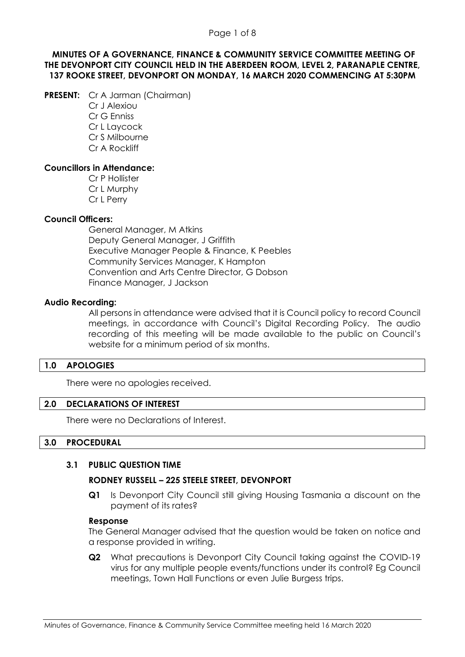## **MINUTES OF A GOVERNANCE, FINANCE & COMMUNITY SERVICE COMMITTEE MEETING OF THE DEVONPORT CITY COUNCIL HELD IN THE ABERDEEN ROOM, LEVEL 2, PARANAPLE CENTRE, 137 ROOKE STREET, DEVONPORT ON MONDAY, 16 MARCH 2020 COMMENCING AT 5:30PM**

- **PRESENT:** Cr A Jarman (Chairman)
	- Cr J Alexiou Cr G Enniss Cr L Laycock Cr S Milbourne Cr A Rockliff

# **Councillors in Attendance:**

Cr P Hollister Cr L Murphy Cr L Perry

# **Council Officers:**

General Manager, M Atkins Deputy General Manager, J Griffith Executive Manager People & Finance, K Peebles Community Services Manager, K Hampton Convention and Arts Centre Director, G Dobson Finance Manager, J Jackson

# **Audio Recording:**

All persons in attendance were advised that it is Council policy to record Council meetings, in accordance with Council's Digital Recording Policy. The audio recording of this meeting will be made available to the public on Council's website for a minimum period of six months.

# **1.0 APOLOGIES**

There were no apologies received.

### **2.0 DECLARATIONS OF INTEREST**

There were no Declarations of Interest.

### **3.0 PROCEDURAL**

### **3.1 PUBLIC QUESTION TIME**

# **RODNEY RUSSELL – 225 STEELE STREET, DEVONPORT**

**Q1** Is Devonport City Council still giving Housing Tasmania a discount on the payment of its rates?

### **Response**

The General Manager advised that the question would be taken on notice and a response provided in writing.

**Q2** What precautions is Devonport City Council taking against the COVID-19 virus for any multiple people events/functions under its control? Eg Council meetings, Town Hall Functions or even Julie Burgess trips.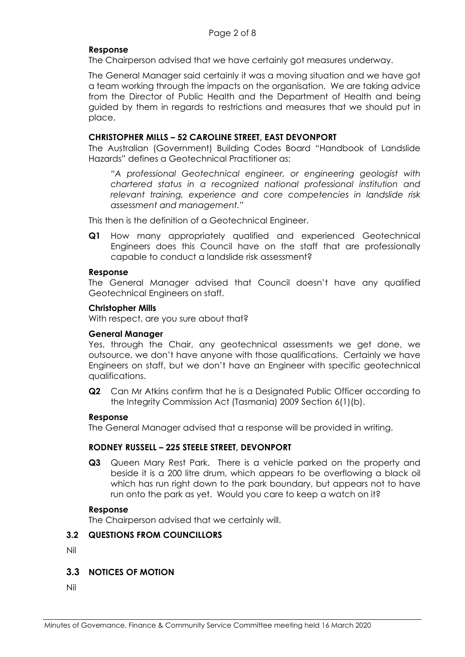### **Response**

The Chairperson advised that we have certainly got measures underway.

The General Manager said certainly it was a moving situation and we have got a team working through the impacts on the organisation. We are taking advice from the Director of Public Health and the Department of Health and being guided by them in regards to restrictions and measures that we should put in place.

### **CHRISTOPHER MILLS – 52 CAROLINE STREET, EAST DEVONPORT**

The Australian (Government) Building Codes Board "Handbook of Landslide Hazards" defines a Geotechnical Practitioner as:

*"A professional Geotechnical engineer, or engineering geologist with chartered status in a recognized national professional institution and relevant training, experience and core competencies in landslide risk assessment and management."* 

This then is the definition of a Geotechnical Engineer.

**Q1** How many appropriately qualified and experienced Geotechnical Engineers does this Council have on the staff that are professionally capable to conduct a landslide risk assessment?

### **Response**

The General Manager advised that Council doesn't have any qualified Geotechnical Engineers on staff.

### **Christopher Mills**

With respect, are you sure about that?

### **General Manager**

Yes, through the Chair, any geotechnical assessments we get done, we outsource, we don't have anyone with those qualifications. Certainly we have Engineers on staff, but we don't have an Engineer with specific geotechnical qualifications.

**Q2** Can Mr Atkins confirm that he is a Designated Public Officer according to the Integrity Commission Act (Tasmania) 2009 Section 6(1)(b).

### **Response**

The General Manager advised that a response will be provided in writing.

### **RODNEY RUSSELL – 225 STEELE STREET, DEVONPORT**

**Q3** Queen Mary Rest Park. There is a vehicle parked on the property and beside it is a 200 litre drum, which appears to be overflowing a black oil which has run right down to the park boundary, but appears not to have run onto the park as yet. Would you care to keep a watch on it?

### **Response**

The Chairperson advised that we certainly will.

# **3.2 QUESTIONS FROM COUNCILLORS**

Nil

### **3.3 NOTICES OF MOTION**

Nil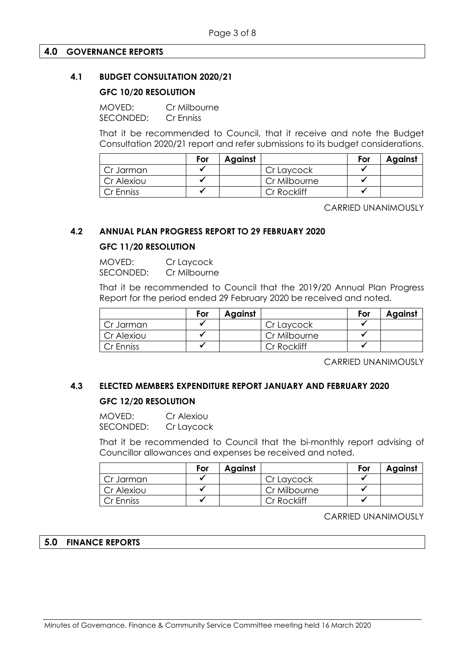### **4.0 GOVERNANCE REPORTS**

## **4.1 BUDGET CONSULTATION 2020/21**

## **GFC 10/20 RESOLUTION**

MOVED: Cr Milbourne SECONDED: Cr Enniss

That it be recommended to Council, that it receive and note the Budget Consultation 2020/21 report and refer submissions to its budget considerations.

|            | For | Against |              | For | Against |
|------------|-----|---------|--------------|-----|---------|
| Cr Jarman  |     |         | Cr Laycock   |     |         |
| Cr Alexiou |     |         | Cr Milbourne |     |         |
| Cr Enniss  |     |         | Cr Rockliff  |     |         |

CARRIED UNANIMOUSLY

### **4.2 ANNUAL PLAN PROGRESS REPORT TO 29 FEBRUARY 2020**

# **GFC 11/20 RESOLUTION**

MOVED: Cr Laycock SECONDED: Cr Milbourne

That it be recommended to Council that the 2019/20 Annual Plan Progress Report for the period ended 29 February 2020 be received and noted.

|            | For | Against |              | For | <b>Against</b> |
|------------|-----|---------|--------------|-----|----------------|
| Cr Jarman  |     |         | Cr Laycock   |     |                |
| Cr Alexiou |     |         | Cr Milbourne |     |                |
| Cr Enniss  |     |         | Cr Rockliff  |     |                |

CARRIED UNANIMOUSLY

# **4.3 ELECTED MEMBERS EXPENDITURE REPORT JANUARY AND FEBRUARY 2020 GFC 12/20 RESOLUTION**

MOVED: Cr Alexiou SECONDED: Cr Laycock

That it be recommended to Council that the bi-monthly report advising of Councillor allowances and expenses be received and noted.

|            | For | <b>Against</b> |              | For | <b>Against</b> |
|------------|-----|----------------|--------------|-----|----------------|
| Cr Jarman  |     |                | Cr Laycock   |     |                |
| Cr Alexiou |     |                | Cr Milbourne |     |                |
| Cr Enniss  |     |                | Cr Rockliff  |     |                |

CARRIED UNANIMOUSLY

### **5.0 FINANCE REPORTS**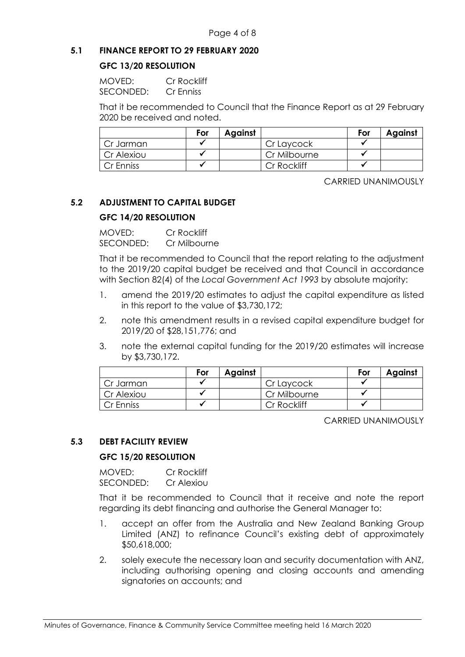# **5.1 FINANCE REPORT TO 29 FEBRUARY 2020**

## **GFC 13/20 RESOLUTION**

| MOVFD:    | Cr Rockliff |
|-----------|-------------|
| SECONDED: | Cr Enniss   |

That it be recommended to Council that the Finance Report as at 29 February 2020 be received and noted.

|            | For | Against |              | For | <b>Against</b> |
|------------|-----|---------|--------------|-----|----------------|
| Cr Jarman  |     |         | Cr Laycock   |     |                |
| Cr Alexiou |     |         | Cr Milbourne |     |                |
| Cr Enniss  |     |         | Cr Rockliff  |     |                |

CARRIED UNANIMOUSLY

# **5.2 ADJUSTMENT TO CAPITAL BUDGET**

# **GFC 14/20 RESOLUTION**

MOVED: Cr Rockliff SECONDED: Cr Milbourne

That it be recommended to Council that the report relating to the adjustment to the 2019/20 capital budget be received and that Council in accordance with Section 82(4) of the *Local Government Act 1993* by absolute majority:

- 1. amend the 2019/20 estimates to adjust the capital expenditure as listed in this report to the value of \$3,730,172;
- 2. note this amendment results in a revised capital expenditure budget for 2019/20 of \$28,151,776; and
- 3. note the external capital funding for the 2019/20 estimates will increase by \$3,730,172.

|            | For | Against |              | For | <b>Against</b> |
|------------|-----|---------|--------------|-----|----------------|
| Cr Jarman  |     |         | Cr Laycock   |     |                |
| Cr Alexiou |     |         | Cr Milbourne |     |                |
| Cr Enniss  |     |         | Cr Rockliff  |     |                |

### CARRIED UNANIMOUSLY

# **5.3 DEBT FACILITY REVIEW**

### **GFC 15/20 RESOLUTION**

MOVED: Cr Rockliff SECONDED: Cr Alexiou

That it be recommended to Council that it receive and note the report regarding its debt financing and authorise the General Manager to:

- 1. accept an offer from the Australia and New Zealand Banking Group Limited (ANZ) to refinance Council's existing debt of approximately \$50,618,000;
- 2. solely execute the necessary loan and security documentation with ANZ, including authorising opening and closing accounts and amending signatories on accounts; and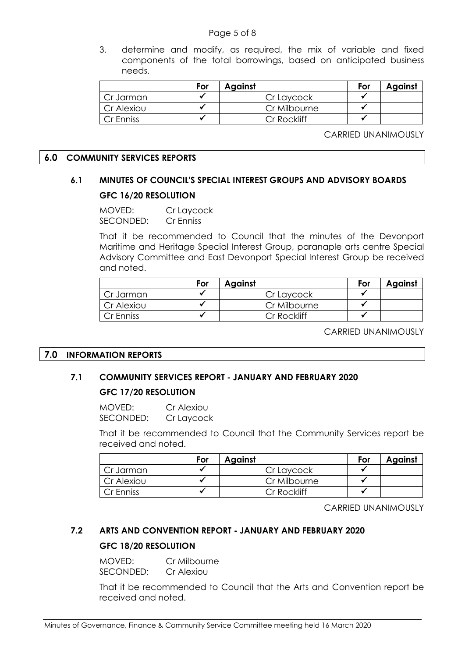### Page 5 of 8

3. determine and modify, as required, the mix of variable and fixed components of the total borrowings, based on anticipated business needs.

|            | For | Against |              | For | <b>Against</b> |
|------------|-----|---------|--------------|-----|----------------|
| Cr Jarman  |     |         | Cr Laycock   |     |                |
| Cr Alexiou |     |         | Cr Milbourne |     |                |
| Cr Enniss  |     |         | Cr Rockliff  |     |                |

CARRIED UNANIMOUSLY

### **6.0 COMMUNITY SERVICES REPORTS**

# **6.1 MINUTES OF COUNCIL'S SPECIAL INTEREST GROUPS AND ADVISORY BOARDS GFC 16/20 RESOLUTION**

MOVED: Cr Laycock SECONDED: Cr Enniss

That it be recommended to Council that the minutes of the Devonport Maritime and Heritage Special Interest Group, paranaple arts centre Special Advisory Committee and East Devonport Special Interest Group be received and noted.

|            | For | <b>Against</b> |              | For | Against |
|------------|-----|----------------|--------------|-----|---------|
| Cr Jarman  |     |                | Cr Laycock   |     |         |
| Cr Alexiou |     |                | Cr Milbourne |     |         |
| Cr Enniss  |     |                | Cr Rockliff  |     |         |

CARRIED UNANIMOUSLY

### **7.0 INFORMATION REPORTS**

### **7.1 COMMUNITY SERVICES REPORT - JANUARY AND FEBRUARY 2020**

### **GFC 17/20 RESOLUTION**

| MOVED:    | Cr Alexiou |
|-----------|------------|
| SECONDED: | Cr Laycock |

That it be recommended to Council that the Community Services report be received and noted.

|            | For | <b>Against</b> |              | For | <b>Against</b> |
|------------|-----|----------------|--------------|-----|----------------|
| Cr Jarman  |     |                | Cr Laycock   |     |                |
| Cr Alexiou |     |                | Cr Milbourne |     |                |
| Cr Enniss  |     |                | Cr Rockliff  |     |                |

CARRIED UNANIMOUSLY

# **7.2 ARTS AND CONVENTION REPORT - JANUARY AND FEBRUARY 2020 GFC 18/20 RESOLUTION**

MOVED: Cr Milbourne SECONDED: Cr Alexiou

That it be recommended to Council that the Arts and Convention report be received and noted.